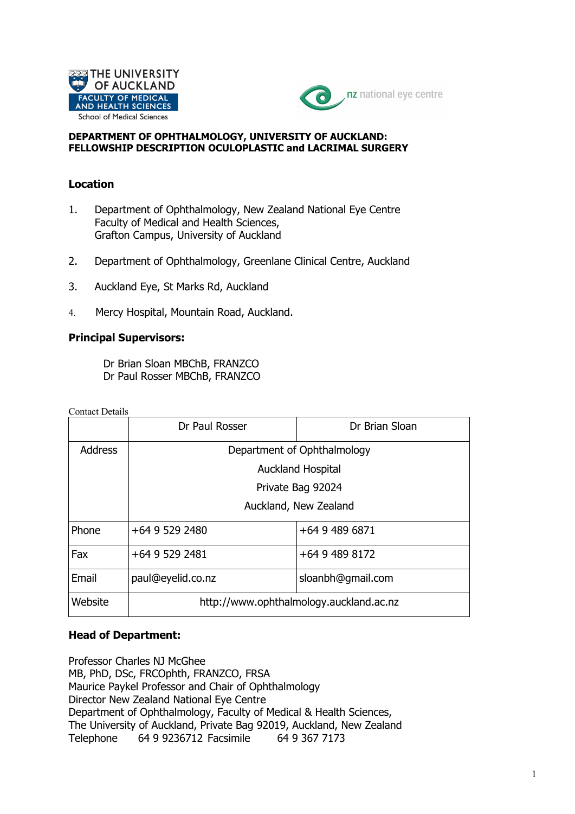



#### **DEPARTMENT OF OPHTHALMOLOGY, UNIVERSITY OF AUCKLAND: FELLOWSHIP DESCRIPTION OCULOPLASTIC and LACRIMAL SURGERY**

### **Location**

- 1. Department of Ophthalmology, New Zealand National Eye Centre Faculty of Medical and Health Sciences, Grafton Campus, University of Auckland
- 2. Department of Ophthalmology, Greenlane Clinical Centre, Auckland
- 3. Auckland Eye, St Marks Rd, Auckland
- 4. Mercy Hospital, Mountain Road, Auckland.

### **Principal Supervisors:**

Dr Brian Sloan MBChB, FRANZCO Dr Paul Rosser MBChB, FRANZCO

Contact Details

|                | Dr Paul Rosser                          | Dr Brian Sloan    |  |  |  |
|----------------|-----------------------------------------|-------------------|--|--|--|
| <b>Address</b> | Department of Ophthalmology             |                   |  |  |  |
|                | <b>Auckland Hospital</b>                |                   |  |  |  |
|                | Private Bag 92024                       |                   |  |  |  |
|                | Auckland, New Zealand                   |                   |  |  |  |
| Phone          | +64 9 529 2480                          | +64 9 489 6871    |  |  |  |
| Fax            | +64 9 529 2481                          | +64 9 489 8172    |  |  |  |
| Email          | paul@eyelid.co.nz                       | sloanbh@gmail.com |  |  |  |
| Website        | http://www.ophthalmology.auckland.ac.nz |                   |  |  |  |

#### **Head of Department:**

Professor Charles NJ McGhee MB, PhD, DSc, FRCOphth, FRANZCO, FRSA Maurice Paykel Professor and Chair of Ophthalmology Director New Zealand National Eye Centre Department of Ophthalmology, Faculty of Medical & Health Sciences, The University of Auckland, Private Bag 92019, Auckland, New Zealand Telephone 64 9 9236712 Facsimile 64 9 367 7173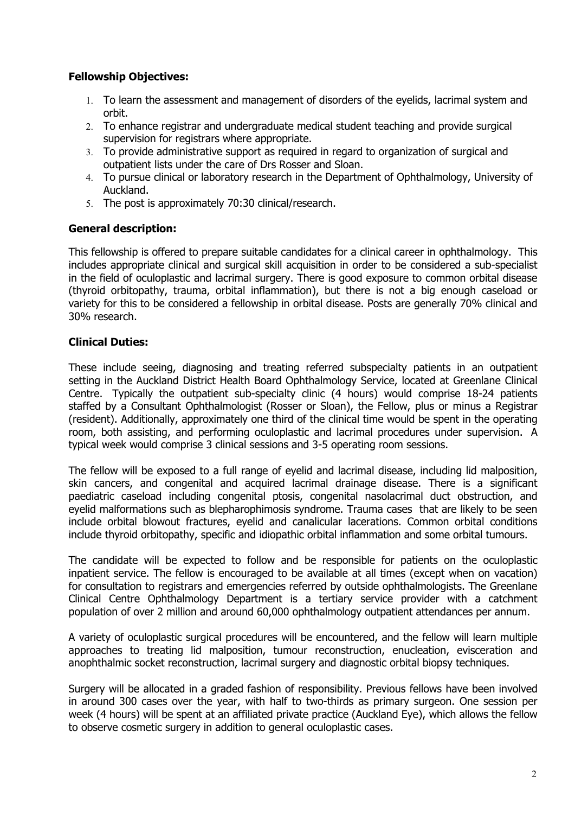# **Fellowship Objectives:**

- 1. To learn the assessment and management of disorders of the eyelids, lacrimal system and orbit.
- 2. To enhance registrar and undergraduate medical student teaching and provide surgical supervision for registrars where appropriate.
- 3. To provide administrative support as required in regard to organization of surgical and outpatient lists under the care of Drs Rosser and Sloan.
- 4. To pursue clinical or laboratory research in the Department of Ophthalmology, University of Auckland.
- 5. The post is approximately 70:30 clinical/research.

# **General description:**

This fellowship is offered to prepare suitable candidates for a clinical career in ophthalmology. This includes appropriate clinical and surgical skill acquisition in order to be considered a sub-specialist in the field of oculoplastic and lacrimal surgery. There is good exposure to common orbital disease (thyroid orbitopathy, trauma, orbital inflammation), but there is not a big enough caseload or variety for this to be considered a fellowship in orbital disease. Posts are generally 70% clinical and 30% research.

# **Clinical Duties:**

These include seeing, diagnosing and treating referred subspecialty patients in an outpatient setting in the Auckland District Health Board Ophthalmology Service, located at Greenlane Clinical Centre. Typically the outpatient sub-specialty clinic (4 hours) would comprise 18-24 patients staffed by a Consultant Ophthalmologist (Rosser or Sloan), the Fellow, plus or minus a Registrar (resident). Additionally, approximately one third of the clinical time would be spent in the operating room, both assisting, and performing oculoplastic and lacrimal procedures under supervision. A typical week would comprise 3 clinical sessions and 3-5 operating room sessions.

The fellow will be exposed to a full range of eyelid and lacrimal disease, including lid malposition, skin cancers, and congenital and acquired lacrimal drainage disease. There is a significant paediatric caseload including congenital ptosis, congenital nasolacrimal duct obstruction, and eyelid malformations such as blepharophimosis syndrome. Trauma cases that are likely to be seen include orbital blowout fractures, eyelid and canalicular lacerations. Common orbital conditions include thyroid orbitopathy, specific and idiopathic orbital inflammation and some orbital tumours.

The candidate will be expected to follow and be responsible for patients on the oculoplastic inpatient service. The fellow is encouraged to be available at all times (except when on vacation) for consultation to registrars and emergencies referred by outside ophthalmologists. The Greenlane Clinical Centre Ophthalmology Department is a tertiary service provider with a catchment population of over 2 million and around 60,000 ophthalmology outpatient attendances per annum.

A variety of oculoplastic surgical procedures will be encountered, and the fellow will learn multiple approaches to treating lid malposition, tumour reconstruction, enucleation, evisceration and anophthalmic socket reconstruction, lacrimal surgery and diagnostic orbital biopsy techniques.

Surgery will be allocated in a graded fashion of responsibility. Previous fellows have been involved in around 300 cases over the year, with half to two-thirds as primary surgeon. One session per week (4 hours) will be spent at an affiliated private practice (Auckland Eye), which allows the fellow to observe cosmetic surgery in addition to general oculoplastic cases.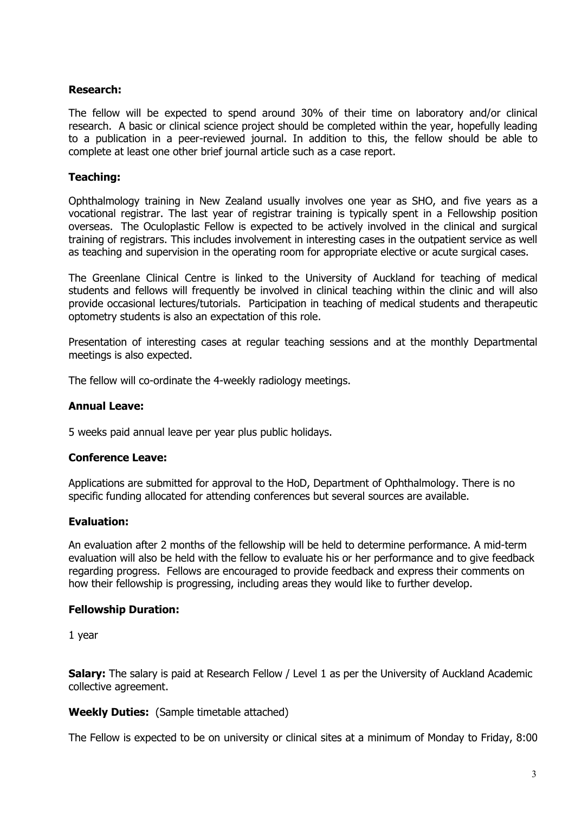### **Research:**

The fellow will be expected to spend around 30% of their time on laboratory and/or clinical research. A basic or clinical science project should be completed within the year, hopefully leading to a publication in a peer-reviewed journal. In addition to this, the fellow should be able to complete at least one other brief journal article such as a case report.

# **Teaching:**

Ophthalmology training in New Zealand usually involves one year as SHO, and five years as a vocational registrar. The last year of registrar training is typically spent in a Fellowship position overseas. The Oculoplastic Fellow is expected to be actively involved in the clinical and surgical training of registrars. This includes involvement in interesting cases in the outpatient service as well as teaching and supervision in the operating room for appropriate elective or acute surgical cases.

The Greenlane Clinical Centre is linked to the University of Auckland for teaching of medical students and fellows will frequently be involved in clinical teaching within the clinic and will also provide occasional lectures/tutorials. Participation in teaching of medical students and therapeutic optometry students is also an expectation of this role.

Presentation of interesting cases at regular teaching sessions and at the monthly Departmental meetings is also expected.

The fellow will co-ordinate the 4-weekly radiology meetings.

#### **Annual Leave:**

5 weeks paid annual leave per year plus public holidays.

#### **Conference Leave:**

Applications are submitted for approval to the HoD, Department of Ophthalmology. There is no specific funding allocated for attending conferences but several sources are available.

#### **Evaluation:**

An evaluation after 2 months of the fellowship will be held to determine performance. A mid-term evaluation will also be held with the fellow to evaluate his or her performance and to give feedback regarding progress. Fellows are encouraged to provide feedback and express their comments on how their fellowship is progressing, including areas they would like to further develop.

#### **Fellowship Duration:**

1 year

**Salary:** The salary is paid at Research Fellow / Level 1 as per the University of Auckland Academic collective agreement.

#### **Weekly Duties:** (Sample timetable attached)

The Fellow is expected to be on university or clinical sites at a minimum of Monday to Friday, 8:00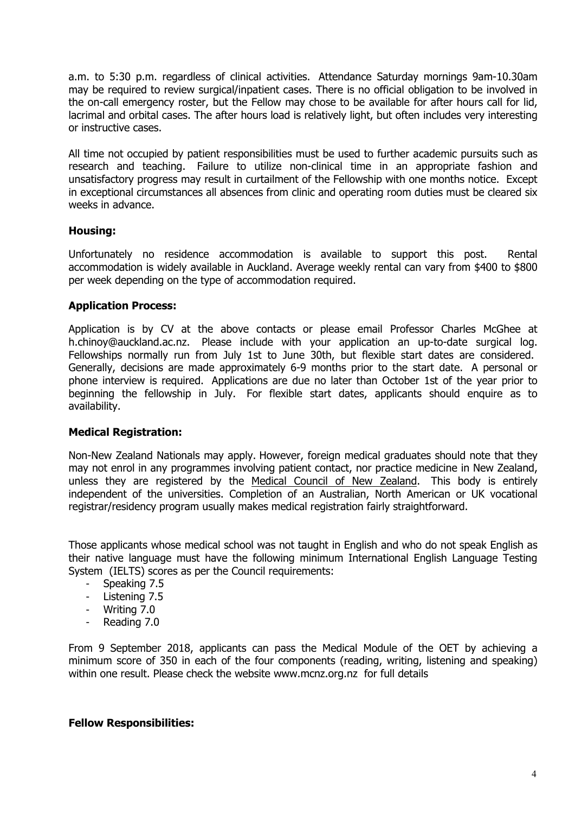a.m. to 5:30 p.m. regardless of clinical activities. Attendance Saturday mornings 9am-10.30am may be required to review surgical/inpatient cases. There is no official obligation to be involved in the on-call emergency roster, but the Fellow may chose to be available for after hours call for lid, lacrimal and orbital cases. The after hours load is relatively light, but often includes very interesting or instructive cases.

All time not occupied by patient responsibilities must be used to further academic pursuits such as research and teaching. Failure to utilize non-clinical time in an appropriate fashion and unsatisfactory progress may result in curtailment of the Fellowship with one months notice. Except in exceptional circumstances all absences from clinic and operating room duties must be cleared six weeks in advance.

# **Housing:**

Unfortunately no residence accommodation is available to support this post. Rental accommodation is widely available in Auckland. Average weekly rental can vary from \$400 to \$800 per week depending on the type of accommodation required.

# **Application Process:**

Application is by CV at the above contacts or please email Professor Charles McGhee at h.chinoy@auckland.ac.nz. Please include with your application an up-to-date surgical log. Fellowships normally run from July 1st to June 30th, but flexible start dates are considered. Generally, decisions are made approximately 6-9 months prior to the start date. A personal or phone interview is required. Applications are due no later than October 1st of the year prior to beginning the fellowship in July. For flexible start dates, applicants should enquire as to availability.

# **Medical Registration:**

Non-New Zealand Nationals may apply. However, foreign medical graduates should note that they may not enrol in any programmes involving patient contact, nor practice medicine in New Zealand, unless they are registered by the Medical Council of New Zealand. This body is entirely independent of the universities. Completion of an Australian, North American or UK vocational registrar/residency program usually makes medical registration fairly straightforward.

Those applicants whose medical school was not taught in English and who do not speak English as their native language must have the following minimum International English Language Testing System (IELTS) scores as per the Council requirements:

- Speaking 7.5
- Listening 7.5
- Writing 7.0
- Reading 7.0

From 9 September 2018, applicants can pass the Medical Module of the OET by achieving a minimum score of 350 in each of the four components (reading, writing, listening and speaking) within one result. Please check the website www.mcnz.org.nz for full details

#### **Fellow Responsibilities:**